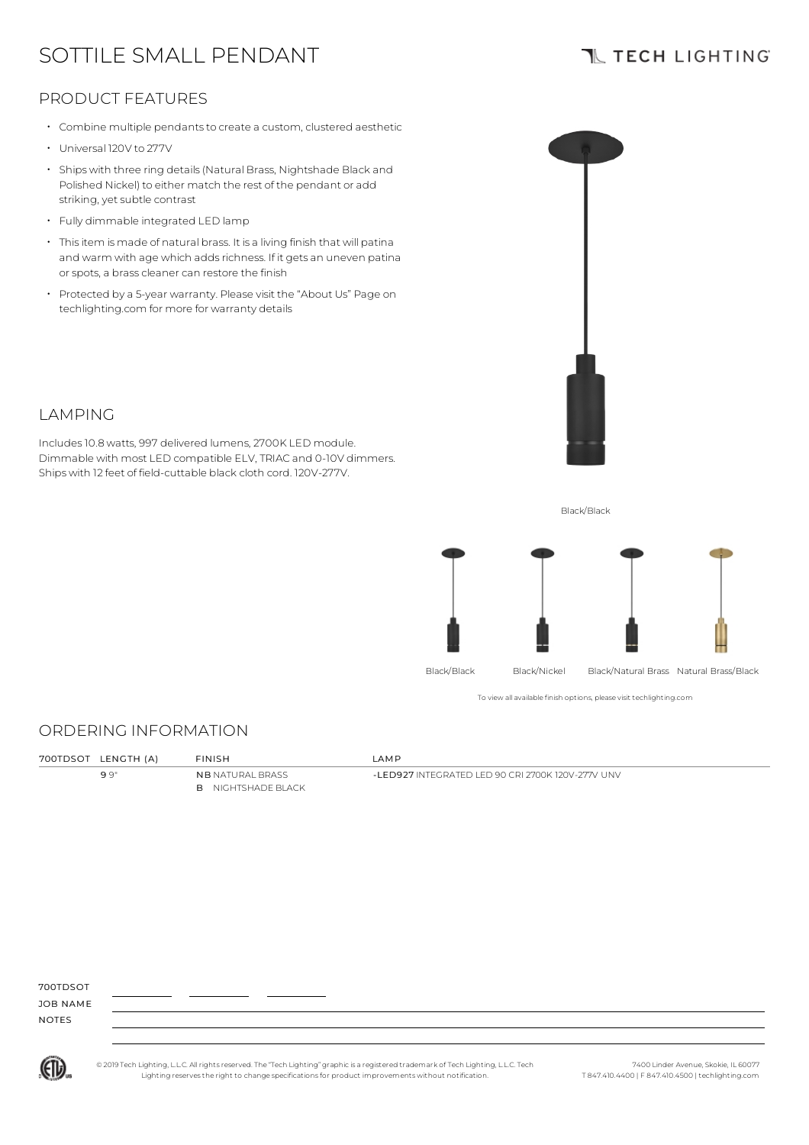# SOTTILE SMALL PENDANT

# **TL TECH LIGHTING**

## PRODUCT FEATURES

- Combine multiple pendants to create a custom, clustered aesthetic
- Universal 120V to 277V
- Ships with three ring details(Natural Brass, Nightshade Black and Polished Nickel) to either match the rest of the pendant or add striking, yet subtle contrast
- Fully dimmable integrated LED lamp
- Thisitem is made of natural brass. It is a living finish that will patina and warm with age which adds richness. If it gets an uneven patina or spots, a brass cleaner can restore the finish
- Protected by a 5-year warranty. Please visit the "About Us" Page on techlighting.com for more for warranty details



### LAMPING

Includes10.8 watts, 997 delivered lumens, 2700K LED module. Dimmable with most LED compatible ELV, TRIAC and 0-10V dimmers. Ships with 12 feet of field-cuttable black cloth cord. 120V-277V.

Black/Black



To view all available finish options, please visit techlighting.com

### ORDERING INFORMATION

| 700TDSOT LENGTH (A) | <b>FINISH</b>                                        | <b>AMP</b>                                           |
|---------------------|------------------------------------------------------|------------------------------------------------------|
| 99"                 | <b>NB NATURAL BRASS</b><br><b>B</b> NIGHTSHADE BLACK | - I ED927 INTEGRATED I ED 90 CRI 2700K 120V-277V UNV |

700TDSOT

JOB NAME NOTES



© 2019 Tech Lighting, L.L.C. All rightsreserved. The "Tech Lighting" graphicis a registered trademark of Tech Lighting, L.L.C. Tech Lighting reservesthe right to change specificationsfor product improvements without notification.

7400 Linder Avenue, Skokie, IL 60077 T 847.410.4400 | F 847.410.4500 | techlighting.com